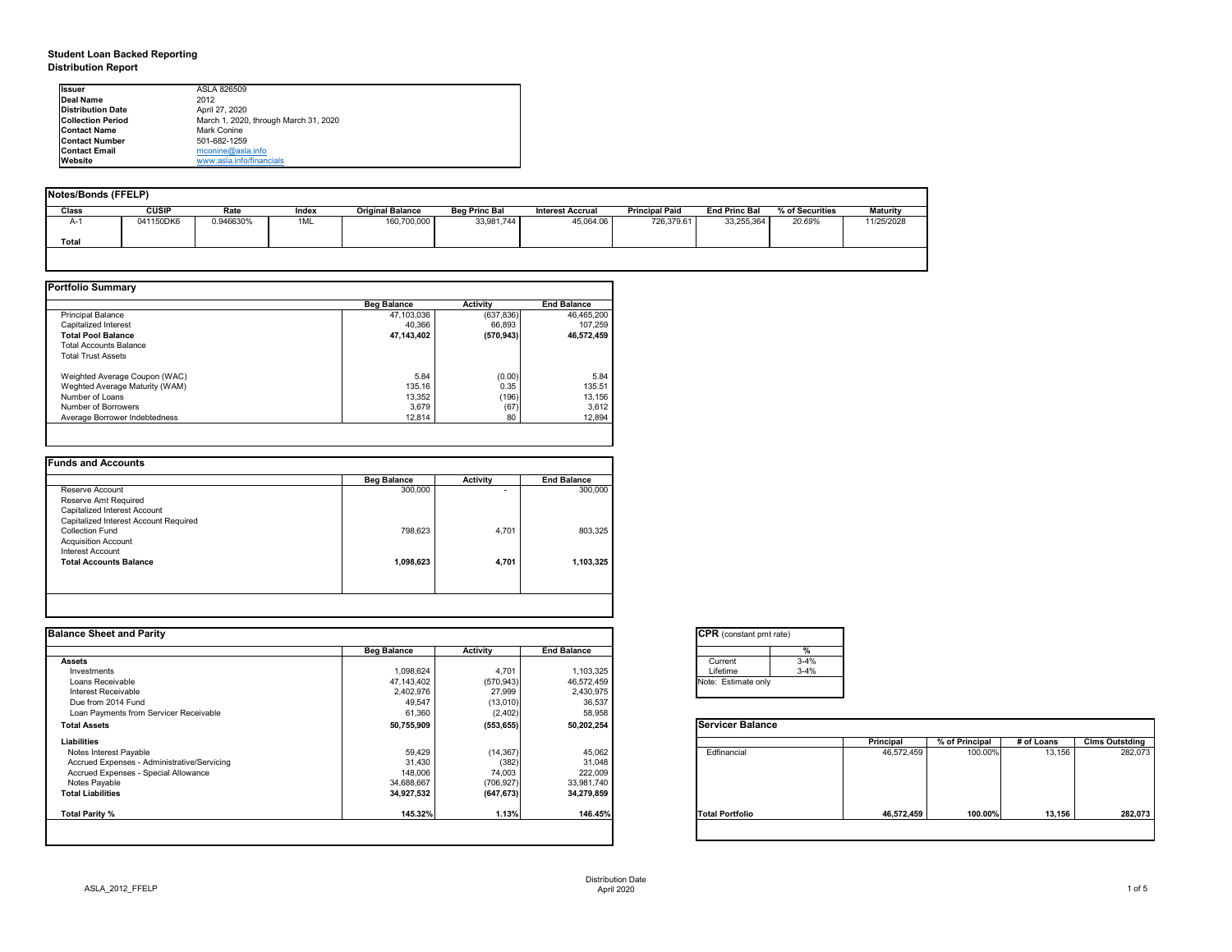# **Student Loan Backed Reporting Distribution Report**

| Notes/Bonds (FFELP) |              |           |       |                         |                      |                         |                       |                      |                 |                 |  |
|---------------------|--------------|-----------|-------|-------------------------|----------------------|-------------------------|-----------------------|----------------------|-----------------|-----------------|--|
| Class               | <b>CUSIP</b> | Rate      | Index | <b>Original Balance</b> | <b>Beg Princ Bal</b> | <b>Interest Accrual</b> | <b>Principal Paid</b> | <b>End Princ Bal</b> | % of Securities | <b>Maturity</b> |  |
| A-1                 | 041150DK6    | 0.946630% | 1ML   | 160,700,000             | 33,981,744           | 45,064.06               | 726,379.61            | 33,255,364           | 20.69%          | 11/25/2028      |  |
| <b>Total</b>        |              |           |       |                         |                      |                         |                       |                      |                 |                 |  |
|                     |              |           |       |                         |                      |                         |                       |                      |                 |                 |  |

|                                | <b>Beg Balance</b> | <b>Activity</b> | <b>End Balance</b> |
|--------------------------------|--------------------|-----------------|--------------------|
| <b>Principal Balance</b>       | 47,103,036         | (637, 836)      | 46,465,200         |
| Capitalized Interest           | 40,366             | 66,893          | 107,259            |
| <b>Total Pool Balance</b>      | 47,143,402         | (570, 943)      | 46,572,459         |
| <b>Total Accounts Balance</b>  |                    |                 |                    |
| <b>Total Trust Assets</b>      |                    |                 |                    |
| Weighted Average Coupon (WAC)  | 5.84               | (0.00)          | 5.84               |
| Weghted Average Maturity (WAM) | 135.16             | 0.35            | 135.51             |
| Number of Loans                | 13,352             | (196)           | 13,156             |
| Number of Borrowers            | 3,679              | (67)            | 3,612              |
| Average Borrower Indebtedness  | 12,814             | 80              | 12,894             |

| 300,000   | ۰     | 300,000   |
|-----------|-------|-----------|
|           |       |           |
|           |       |           |
|           |       |           |
|           |       |           |
| 798,623   | 4,701 | 803,325   |
|           |       |           |
|           |       |           |
| 1,098,623 | 4,701 | 1,103,325 |
|           |       |           |
|           |       |           |

| <b>Ilssuer</b>           | ASLA 826509                           |
|--------------------------|---------------------------------------|
| Deal Name                | 2012                                  |
| <b>Distribution Date</b> | April 27, 2020                        |
| <b>Collection Period</b> | March 1, 2020, through March 31, 2020 |
| <b>IContact Name</b>     | <b>Mark Conine</b>                    |
| <b>IContact Number</b>   | 501-682-1259                          |
| <b>Contact Email</b>     | $m$ conine@asla.info                  |
| <b>IWebsite</b>          | www.asla.info/financials              |

| <b>Balance Sheet and Parity</b>             |                    |                 |                    | <b>CPR</b> (constant pmt rate) |                  |                |            |                       |
|---------------------------------------------|--------------------|-----------------|--------------------|--------------------------------|------------------|----------------|------------|-----------------------|
|                                             | <b>Beg Balance</b> | <b>Activity</b> | <b>End Balance</b> |                                |                  |                |            |                       |
| <b>Assets</b>                               |                    |                 |                    | $3 - 4%$<br>Current            |                  |                |            |                       |
| Investments                                 | 1,098,624          | 4,701           | 1,103,325          | Lifetime<br>$3 - 4%$           |                  |                |            |                       |
| Loans Receivable                            | 47,143,402         | (570, 943)      | 46,572,459         | Note: Estimate only            |                  |                |            |                       |
| <b>Interest Receivable</b>                  | 2,402,976          | 27,999          | 2,430,975          |                                |                  |                |            |                       |
| Due from 2014 Fund                          | 49,547             | (13,010)        | 36,537             |                                |                  |                |            |                       |
| Loan Payments from Servicer Receivable      | 61,360             | (2, 402)        | 58,958             |                                |                  |                |            |                       |
| <b>Total Assets</b>                         | 50,755,909         | (553, 655)      | 50,202,254         | <b>Servicer Balance</b>        |                  |                |            |                       |
| <b>Liabilities</b>                          |                    |                 |                    |                                | <b>Principal</b> | % of Principal | # of Loans | <b>Clms Outstding</b> |
| Notes Interest Payable                      | 59,429             | (14, 367)       | 45,062             | Edfinancial                    | 46,572,459       | 100.00%        | 13,156     | 282,073               |
| Accrued Expenses - Administrative/Servicing | 31,430             | (382)           | 31,048             |                                |                  |                |            |                       |
| Accrued Expenses - Special Allowance        | 148,006            | 74,003          | 222,009            |                                |                  |                |            |                       |
| Notes Payable                               | 34,688,667         | (706, 927)      | 33,981,740         |                                |                  |                |            |                       |
| <b>Total Liabilities</b>                    | 34,927,532         | (647, 673)      | 34,279,859         |                                |                  |                |            |                       |
| Total Parity %                              | 145.32%            | 1.13%           | 146.45%            | <b>Total Portfolio</b>         | 46,572,459       | 100.00%        | 13,156     | 282,073               |

| tant pmt rate) |          |
|----------------|----------|
|                | $\%$     |
|                | $3 - 4%$ |
|                | $3 - 4%$ |
| ate only       |          |

| Balance |            |                |            |                       |
|---------|------------|----------------|------------|-----------------------|
|         | Principal  | % of Principal | # of Loans | <b>Clms Outstding</b> |
| al      | 46,572,459 | 100.00%        | 13,156     | 282,073               |
| olio    | 46,572,459 | 100.00%        | 13,156     | 282,073               |
|         |            |                |            |                       |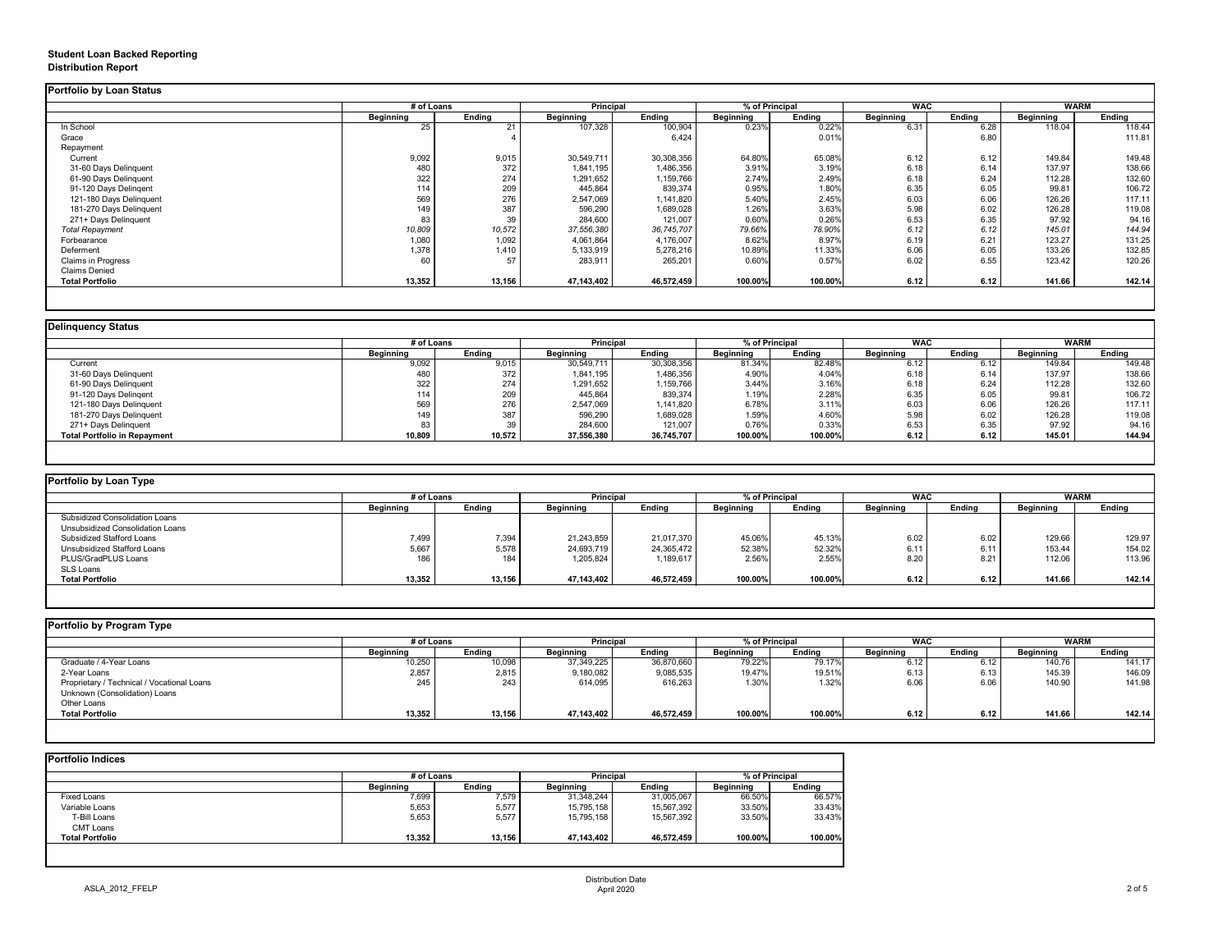# **Student Loan Backed Reporting Distribution Report**

|                           | # of Loans       |               | <b>Principal</b> |               | % of Principal   |               | <b>WAC</b>       |               | <b>WARM</b>      |               |
|---------------------------|------------------|---------------|------------------|---------------|------------------|---------------|------------------|---------------|------------------|---------------|
|                           | <b>Beginning</b> | <b>Ending</b> | <b>Beginning</b> | <b>Ending</b> | <b>Beginning</b> | <b>Ending</b> | <b>Beginning</b> | <b>Ending</b> | <b>Beginning</b> | <b>Ending</b> |
| In School                 | 25               | 21            | 107,328          | 100,904       | 0.23%            | 0.22%         | 6.31             | 6.28          | 118.04           | 118.44        |
| Grace                     |                  |               |                  | 6,424         |                  | 0.01%         |                  | 6.80          |                  | 111.81        |
| Repayment                 |                  |               |                  |               |                  |               |                  |               |                  |               |
| Current                   | 9,092            | 9,015         | 30,549,711       | 30,308,356    | 64.80%           | 65.08%        | 6.12             | 6.12          | 149.84           | 149.48        |
| 31-60 Days Delinquent     | 480              | 372           | 1,841,195        | 1,486,356     | 3.91%            | 3.19%         | 6.18             | 6.14          | 137.97           | 138.66        |
| 61-90 Days Delinquent     | 322              | 274           | 1,291,652        | 1,159,766     | 2.74%            | 2.49%         | 6.18             | 6.24          | 112.28           | 132.60        |
| 91-120 Days Delingent     | 114              | 209           | 445,864          | 839,374       | 0.95%            | 1.80%         | 6.35             | 6.05          | 99.81            | 106.72        |
| 121-180 Days Delinquent   | 569              | 276           | 2,547,069        | 1,141,820     | 5.40%            | 2.45%         | 6.03             | 6.06          | 126.26           | 117.11        |
| 181-270 Days Delinquent   | 149              | 387           | 596,290          | 1,689,028     | 1.26%            | 3.63%         | 5.98             | 6.02          | 126.28           | 119.08        |
| 271+ Days Delinquent      | 83               | 39            | 284,600          | 121,007       | 0.60%            | 0.26%         | 6.53             | 6.35          | 97.92            | 94.16         |
| <b>Total Repayment</b>    | 10,809           | 10,572        | 37,556,380       | 36,745,707    | 79.66%           | 78.90%        | 6.12             | 6.12          | 145.01           | 144.94        |
| Forbearance               | 1,080            | 1,092         | 4,061,864        | 4,176,007     | 8.62%            | 8.97%         | 6.19             | 6.21          | 123.27           | 131.25        |
| Deferment                 | 1,378            | 1,410         | 5,133,919        | 5,278,216     | 10.89%           | 11.33%        | 6.06             | 6.05          | 133.26           | 132.85        |
| <b>Claims in Progress</b> | 60               | 57            | 283,911          | 265,201       | 0.60%            | 0.57%         | 6.02             | 6.55          | 123.42           | 120.26        |
| <b>Claims Denied</b>      |                  |               |                  |               |                  |               |                  |               |                  |               |
| <b>Total Portfolio</b>    | 13,352           | 13,156        | 47,143,402       | 46,572,459    | 100.00%          | 100.00%       | 6.12             | 6.12          | 141.66           | 142.14        |

| <b>Delinquency Status</b>           |                  |               |                  |               |                  |               |                  |               |                  |               |
|-------------------------------------|------------------|---------------|------------------|---------------|------------------|---------------|------------------|---------------|------------------|---------------|
|                                     | # of Loans       |               | <b>Principal</b> |               | % of Principal   |               | <b>WAC</b>       |               | <b>WARM</b>      |               |
|                                     | <b>Beginning</b> | <b>Ending</b> | <b>Beginning</b> | <b>Ending</b> | <b>Beginning</b> | <b>Ending</b> | <b>Beginning</b> | <b>Ending</b> | <b>Beginning</b> | <b>Ending</b> |
| Current                             | 9,092            | 9,015         | 30,549,711       | 30,308,356    | 81.34%           | 82.48%        | 6.12             | 6.12          | 149.84           | 149.48        |
| 31-60 Days Delinquent               | 480              | 372           | 1,841,195        | 1,486,356     | 4.90%            | 4.04%         | 6.18             | 6.14          | 137.97           | 138.66        |
| 61-90 Days Delinquent               | 322              | 274           | 1,291,652        | ,159,766      | 3.44%            | 3.16%         | 6.18             | 6.24          | 112.28           | 132.60        |
| 91-120 Days Delingent               | 114              | 209           | 445,864          | 839,374       | 1.19%            | 2.28%         | 6.35             | 6.05          | 99.81            | 106.72        |
| 121-180 Days Delinquent             | 569              | 276           | 2,547,069        | 1,141,820     | 6.78%            | 3.11%         | 6.03             | 6.06          | 126.26           | 117.11        |
| 181-270 Days Delinquent             | 149 <sub>1</sub> | 387           | 596,290          | 1,689,028     | 1.59%            | 4.60%         | 5.98             | 6.02          | 126.28           | 119.08        |
| 271+ Days Delinquent                | 83               | 39            | 284,600          | 121,007       | 0.76%            | 0.33%         | 6.53             | 6.35          | 97.92            | 94.16         |
| <b>Total Portfolio in Repayment</b> | 10,809           | 10,572        | 37,556,380       | 36,745,707    | $100.00\%$       | 100.00%       | 6.12             | 6.12          | 145.01           | 144.94        |
|                                     |                  |               |                  |               |                  |               |                  |               |                  |               |

| <b>Portfolio by Loan Type</b>         |                  |               |                  |               |                  |               |                  |               |                  |               |
|---------------------------------------|------------------|---------------|------------------|---------------|------------------|---------------|------------------|---------------|------------------|---------------|
|                                       | # of Loans       |               | <b>Principal</b> |               | % of Principal   |               | <b>WAC</b>       |               | <b>WARM</b>      |               |
|                                       | <b>Beginning</b> | <b>Ending</b> | <b>Beginning</b> | <b>Ending</b> | <b>Beginning</b> | <b>Ending</b> | <b>Beginning</b> | <b>Ending</b> | <b>Beginning</b> | <b>Ending</b> |
| <b>Subsidized Consolidation Loans</b> |                  |               |                  |               |                  |               |                  |               |                  |               |
| Unsubsidized Consolidation Loans      |                  |               |                  |               |                  |               |                  |               |                  |               |
| <b>Subsidized Stafford Loans</b>      | 7,499            | 7,394         | 21,243,859       | 21,017,370    | 45.06%           | 45.13%        | 6.02             | 6.02          | 129.66           | 129.97        |
| <b>Unsubsidized Stafford Loans</b>    | 5,667            | 5,578         | 24,693,719       | 24,365,472    | 52.38%           | 52.32%        | 6.11             | 6.11          | 153.44           | 154.02        |
| PLUS/GradPLUS Loans                   | 186              | 184           | 1,205,824        | 1,189,617     | 2.56%            | 2.55%         | 8.20             | 8.21          | 112.06           | 113.96        |
| <b>SLS Loans</b>                      |                  |               |                  |               |                  |               |                  |               |                  |               |
| <b>Total Portfolio</b>                | 13,352           | 13,156        | 47,143,402       | 46,572,459    | 100.00%          | 100.00%       | 6.12             | 6.12          | 141.66           | 142.14        |

|  |  |  | Portfolio by Program Type |  |
|--|--|--|---------------------------|--|
|--|--|--|---------------------------|--|

| <b>Portfolio by Program Type</b>           |                  |               |                  |               |                |               |                  |               |                  |               |
|--------------------------------------------|------------------|---------------|------------------|---------------|----------------|---------------|------------------|---------------|------------------|---------------|
|                                            | # of Loans       |               | Principal        |               | % of Principal |               | <b>WAC</b>       |               |                  | <b>WARM</b>   |
|                                            | <b>Beginning</b> | <b>Ending</b> | <b>Beginning</b> | <b>Ending</b> | Beginning      | <b>Ending</b> | <b>Beginning</b> | <b>Ending</b> | <b>Beginning</b> | <b>Ending</b> |
| Graduate / 4-Year Loans                    | 10,250           | 10,098        | 37,349,225       | 36,870,660    | 79.22%         | 79.17%        | 6.12             | 6.12          | 140.76           | 141.17        |
| 2-Year Loans                               | 2,857            | 2,815         | 9,180,082        | 9,085,535     | 19.47%         | 19.51%        | 6.13             | 6.13          | 145.39           | 146.09        |
| Proprietary / Technical / Vocational Loans | 245              | 243           | 614,095          | 616,263       | 1.30%          | 1.32%         | 6.06             | 6.06          | 140.90           | 141.98        |
| Unknown (Consolidation) Loans              |                  |               |                  |               |                |               |                  |               |                  |               |
| Other Loans                                |                  |               |                  |               |                |               |                  |               |                  |               |
| <b>Total Portfolio</b>                     | 13,352           | 13,156        | 47,143,402       | 46,572,459    | 100.00%        | 100.00%       | 6.12             | 6.12          | 141.66           | 142.14        |
|                                            |                  |               |                  |               |                |               |                  |               |                  |               |

|                        |                  | # of Loans    |                  | <b>Principal</b> |                  | % of Principal |  |
|------------------------|------------------|---------------|------------------|------------------|------------------|----------------|--|
|                        | <b>Beginning</b> | <b>Ending</b> | <b>Beginning</b> | <b>Ending</b>    | <b>Beginning</b> | <b>Ending</b>  |  |
| <b>Fixed Loans</b>     | 7,699            | 7,579         | 31,348,244       | 31,005,067       | 66.50%           | 66.57%         |  |
| Variable Loans         | 5,653            | 5,577         | 15,795,158       | 15,567,392       | 33.50%           | 33.43%         |  |
| T-Bill Loans           | 5,653            | 5,577         | 15,795,158       | 15,567,392       | 33.50%           | 33.43%         |  |
| <b>CMT Loans</b>       |                  |               |                  |                  |                  |                |  |
| <b>Total Portfolio</b> | 13,352           | 13,156        | 47,143,402       | 46,572,459       | 100.00%          | 100.00%        |  |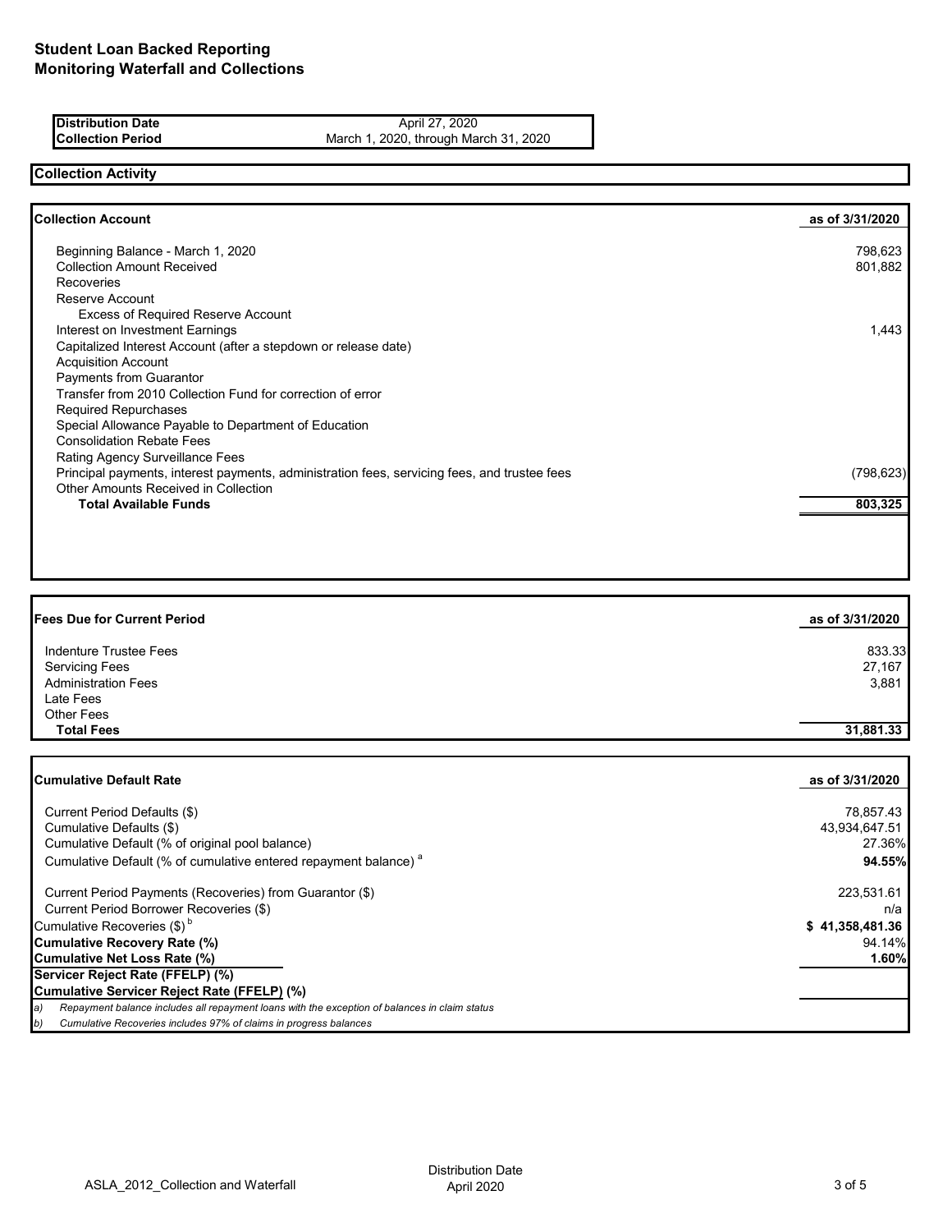**Distribution Date April 27, 2020** 

**Collection Period** March 1, 2020, through March 31, 2020

# **Collection Activity**

| <b>Collection Account</b>                                                                    | as of 3/31/2020 |
|----------------------------------------------------------------------------------------------|-----------------|
| Beginning Balance - March 1, 2020                                                            | 798,623         |
| <b>Collection Amount Received</b>                                                            | 801,882         |
| Recoveries                                                                                   |                 |
| Reserve Account                                                                              |                 |
| <b>Excess of Required Reserve Account</b>                                                    |                 |
| Interest on Investment Earnings                                                              | 1.443           |
| Capitalized Interest Account (after a stepdown or release date)                              |                 |
| <b>Acquisition Account</b>                                                                   |                 |
| Payments from Guarantor                                                                      |                 |
| Transfer from 2010 Collection Fund for correction of error                                   |                 |
| <b>Required Repurchases</b>                                                                  |                 |
| Special Allowance Payable to Department of Education                                         |                 |
| <b>Consolidation Rebate Fees</b>                                                             |                 |
| Rating Agency Surveillance Fees                                                              |                 |
| Principal payments, interest payments, administration fees, servicing fees, and trustee fees | (798, 623)      |
| Other Amounts Received in Collection                                                         |                 |
| <b>Total Available Funds</b>                                                                 | 803,325         |

| <b>Fees Due for Current Period</b> | as of 3/31/2020 |
|------------------------------------|-----------------|
| Indenture Trustee Fees             | 833.33          |
| <b>Servicing Fees</b>              | 27,167          |
| <b>Administration Fees</b>         | 3,881           |
| Late Fees                          |                 |
| <b>Other Fees</b>                  |                 |
| <b>Total Fees</b>                  | 31,881.33       |

| <b>Cumulative Default Rate</b>                                                                      | as of 3/31/2020 |
|-----------------------------------------------------------------------------------------------------|-----------------|
| Current Period Defaults (\$)                                                                        | 78,857.43       |
| Cumulative Defaults (\$)                                                                            | 43,934,647.51   |
| Cumulative Default (% of original pool balance)                                                     | 27.36%          |
| Cumulative Default (% of cumulative entered repayment balance) <sup>a</sup>                         | 94.55%          |
| Current Period Payments (Recoveries) from Guarantor (\$)                                            | 223,531.61      |
| Current Period Borrower Recoveries (\$)                                                             | n/a             |
| Cumulative Recoveries (\$) <sup>b</sup>                                                             | \$41,358,481.36 |
| <b>Cumulative Recovery Rate (%)</b>                                                                 | 94.14%          |
| <b>Cumulative Net Loss Rate (%)</b>                                                                 | 1.60%           |
| Servicer Reject Rate (FFELP) (%)                                                                    |                 |
| Cumulative Servicer Reject Rate (FFELP) (%)                                                         |                 |
| Repayment balance includes all repayment loans with the exception of balances in claim status<br>a) |                 |
| Cumulative Recoveries includes 97% of claims in progress balances<br>b)                             |                 |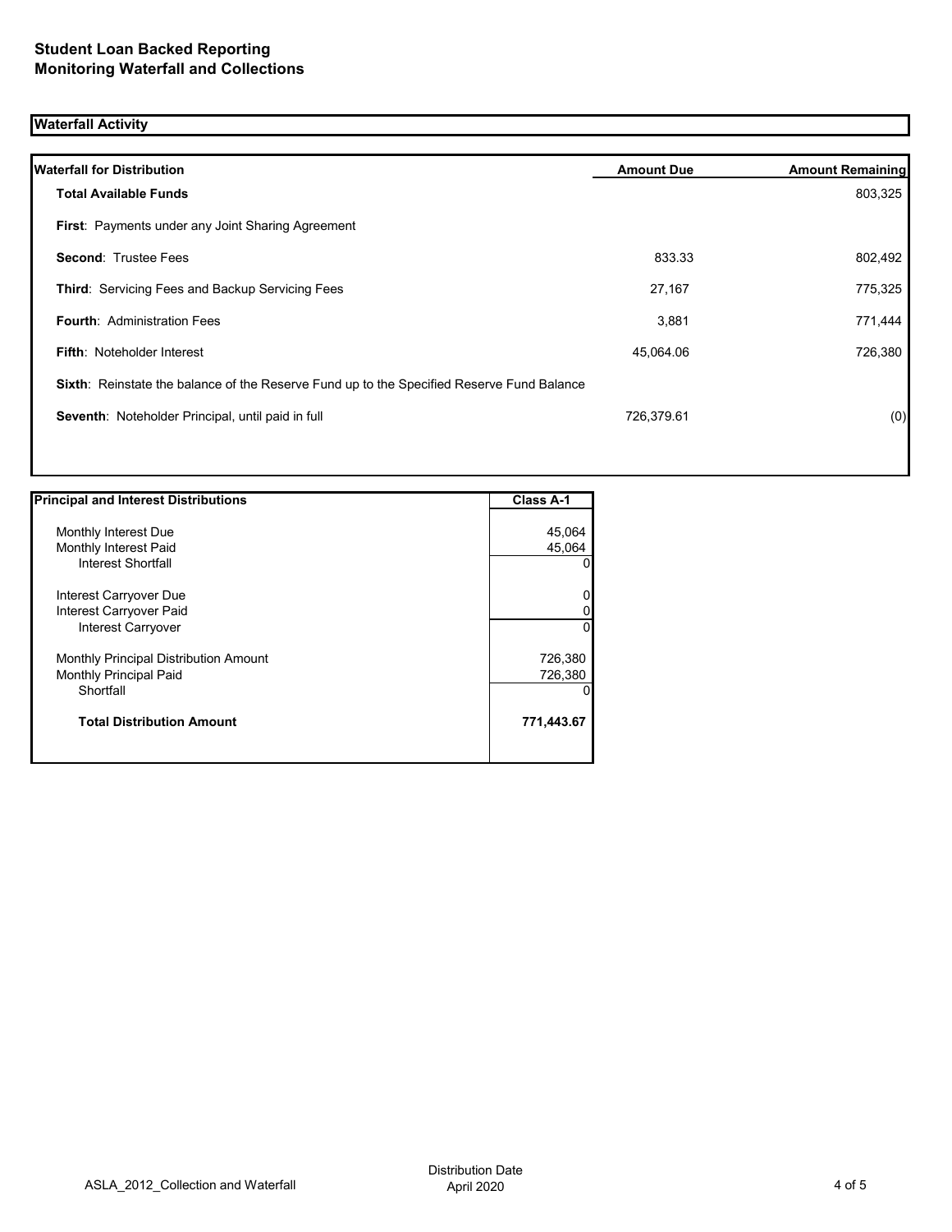## **Waterfall Activity**

| <b>Waterfall for Distribution</b>                                                         | <b>Amount Due</b> | <b>Amount Remaining</b> |
|-------------------------------------------------------------------------------------------|-------------------|-------------------------|
| <b>Total Available Funds</b>                                                              |                   | 803,325                 |
| First: Payments under any Joint Sharing Agreement                                         |                   |                         |
| <b>Second: Trustee Fees</b>                                                               | 833.33            | 802,492                 |
| <b>Third: Servicing Fees and Backup Servicing Fees</b>                                    | 27,167            | 775,325                 |
| <b>Fourth: Administration Fees</b>                                                        | 3,881             | 771,444                 |
| <b>Fifth: Noteholder Interest</b>                                                         | 45,064.06         | 726,380                 |
| Sixth: Reinstate the balance of the Reserve Fund up to the Specified Reserve Fund Balance |                   |                         |
| Seventh: Noteholder Principal, until paid in full                                         | 726,379.61        | (0)                     |
|                                                                                           |                   |                         |

| <b>Principal and Interest Distributions</b> | <b>Class A-1</b> |
|---------------------------------------------|------------------|
|                                             |                  |
| Monthly Interest Due                        | 45,064           |
| Monthly Interest Paid                       | 45,064           |
| Interest Shortfall                          | 0                |
| Interest Carryover Due                      | $\overline{0}$   |
| Interest Carryover Paid                     | 0                |
| <b>Interest Carryover</b>                   | $\Omega$         |
| Monthly Principal Distribution Amount       | 726,380          |
| <b>Monthly Principal Paid</b>               | 726,380          |
| Shortfall                                   | $\Omega$         |
| <b>Total Distribution Amount</b>            | 771,443.67       |
|                                             |                  |